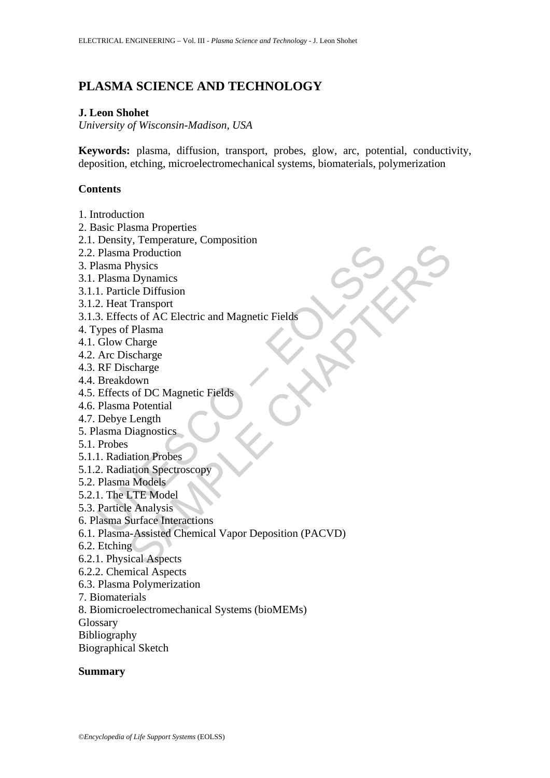# **PLASMA SCIENCE AND TECHNOLOGY**

#### **J. Leon Shohet**

*University of Wisconsin-Madison, USA* 

**Keywords:** plasma, diffusion, transport, probes, glow, arc, potential, conductivity, deposition, etching, microelectromechanical systems, biomaterials, polymerization

### **Contents**

- 1. Introduction
- 2. Basic Plasma Properties
- 2.1. Density, Temperature, Composition
- 2.2. Plasma Production
- 3. Plasma Physics
- 3.1. Plasma Dynamics
- 3.1.1. Particle Diffusion
- 3.1.2. Heat Transport
- Demany, in contact production<br>
Plasma Production<br>
Ilasma Physics<br>
Plasma Dynamics<br>
1. Particle Diffusion<br>
3. Effects of AC Electric and Magnetic Fields<br>
Sypes of Plasma<br>
Glow Charge<br>
Are Discharge<br>
RF Discharge<br>
RF Dischar 3.1.3. Effects of AC Electric and Magnetic Fields
- 4. Types of Plasma
- 4.1. Glow Charge
- 4.2. Arc Discharge
- 4.3. RF Discharge
- 4.4. Breakdown
- 4.5. Effects of DC Magnetic Fields
- 4.6. Plasma Potential
- 4.7. Debye Length
- 5. Plasma Diagnostics
- 5.1. Probes
- 5.1.1. Radiation Probes
- 5.1.2. Radiation Spectroscopy
- 5.2. Plasma Models
- 5.2.1. The LTE Model
- 5.3. Particle Analysis
- 6. Plasma Surface Interactions
- France<br>
The Production<br>
a Production<br>
a Production<br>
Transport<br>
The Daminics<br>
Charge<br>
Scharge<br>
Scharge<br>
Scharge<br>
Singnostics<br>
and Doman<br>
Potential<br>
Length<br>
Andels<br>
A Potential<br>
Length<br>
Model<br>
A Potential<br>
Length<br>
Model<br>
ELT 6.1. Plasma-Assisted Chemical Vapor Deposition (PACVD)
- 6.2. Etching
- 6.2.1. Physical Aspects
- 6.2.2. Chemical Aspects
- 6.3. Plasma Polymerization
- 7. Biomaterials
- 8. Biomicroelectromechanical Systems (bioMEMs)
- Glossary
- Bibliography
- Biographical Sketch

#### **Summary**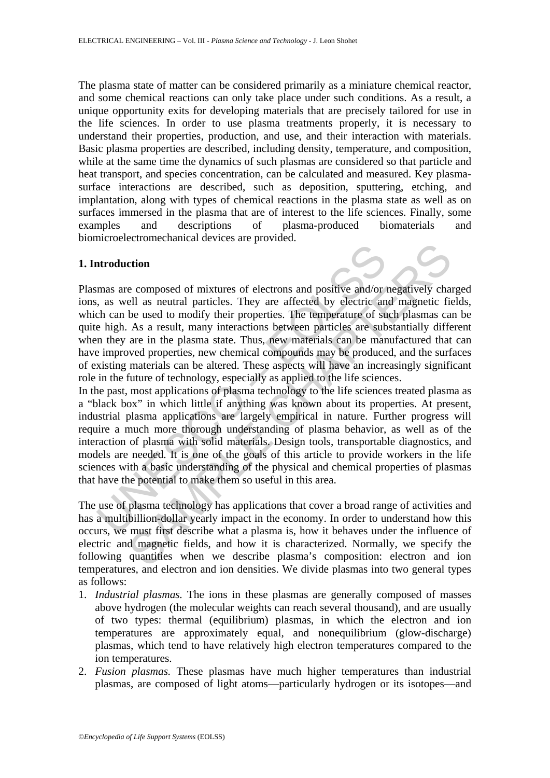The plasma state of matter can be considered primarily as a miniature chemical reactor, and some chemical reactions can only take place under such conditions. As a result, a unique opportunity exits for developing materials that are precisely tailored for use in the life sciences. In order to use plasma treatments properly, it is necessary to understand their properties, production, and use, and their interaction with materials. Basic plasma properties are described, including density, temperature, and composition, while at the same time the dynamics of such plasmas are considered so that particle and heat transport, and species concentration, can be calculated and measured. Key plasmasurface interactions are described, such as deposition, sputtering, etching, and implantation, along with types of chemical reactions in the plasma state as well as on surfaces immersed in the plasma that are of interest to the life sciences. Finally, some examples and descriptions of plasma-produced biomaterials and biomicroelectromechanical devices are provided.

### **1. Introduction**

**Accelerist Solution**<br>
In a ser composed of mixtures of electrons and positive and/or<br>
i, as well as neutral particles. They are affected by electric and<br>
che che and the used to modify their properties. The temperature of **Example 20** and positive and positive and/or negatively charged and and positive and positive and magnetic field as neutral particles. They are affected by electric and magnetic field be used to modify their properties. T Plasmas are composed of mixtures of electrons and positive and/or negatively charged ions, as well as neutral particles. They are affected by electric and magnetic fields, which can be used to modify their properties. The temperature of such plasmas can be quite high. As a result, many interactions between particles are substantially different when they are in the plasma state. Thus, new materials can be manufactured that can have improved properties, new chemical compounds may be produced, and the surfaces of existing materials can be altered. These aspects will have an increasingly significant role in the future of technology, especially as applied to the life sciences.

In the past, most applications of plasma technology to the life sciences treated plasma as a "black box" in which little if anything was known about its properties. At present, industrial plasma applications are largely empirical in nature. Further progress will require a much more thorough understanding of plasma behavior, as well as of the interaction of plasma with solid materials. Design tools, transportable diagnostics, and models are needed. It is one of the goals of this article to provide workers in the life sciences with a basic understanding of the physical and chemical properties of plasmas that have the potential to make them so useful in this area.

The use of plasma technology has applications that cover a broad range of activities and has a multibillion-dollar yearly impact in the economy. In order to understand how this occurs, we must first describe what a plasma is, how it behaves under the influence of electric and magnetic fields, and how it is characterized. Normally, we specify the following quantities when we describe plasma's composition: electron and ion temperatures, and electron and ion densities. We divide plasmas into two general types as follows:

- 1. *Industrial plasmas.* The ions in these plasmas are generally composed of masses above hydrogen (the molecular weights can reach several thousand), and are usually of two types: thermal (equilibrium) plasmas, in which the electron and ion temperatures are approximately equal, and nonequilibrium (glow-discharge) plasmas, which tend to have relatively high electron temperatures compared to the ion temperatures.
- 2. *Fusion plasmas.* These plasmas have much higher temperatures than industrial plasmas, are composed of light atoms—particularly hydrogen or its isotopes—and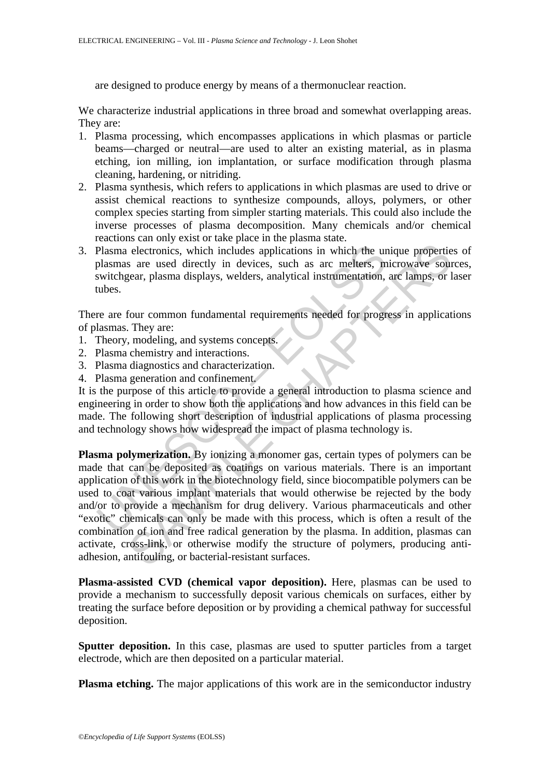are designed to produce energy by means of a thermonuclear reaction.

We characterize industrial applications in three broad and somewhat overlapping areas. They are:

- 1. Plasma processing, which encompasses applications in which plasmas or particle beams—charged or neutral—are used to alter an existing material, as in plasma etching, ion milling, ion implantation, or surface modification through plasma cleaning, hardening, or nitriding.
- 2. Plasma synthesis, which refers to applications in which plasmas are used to drive or assist chemical reactions to synthesize compounds, alloys, polymers, or other complex species starting from simpler starting materials. This could also include the inverse processes of plasma decomposition. Many chemicals and/or chemical reactions can only exist or take place in the plasma state.
- 3. Plasma electronics, which includes applications in which the unique properties of plasmas are used directly in devices, such as arc melters, microwave sources, switchgear, plasma displays, welders, analytical instrumentation, arc lamps, or laser tubes.

There are four common fundamental requirements needed for progress in applications of plasmas. They are:

- 1. Theory, modeling, and systems concepts.
- 2. Plasma chemistry and interactions.
- 3. Plasma diagnostics and characterization.
- 4. Plasma generation and confinement.

It is the purpose of this article to provide a general introduction to plasma science and engineering in order to show both the applications and how advances in this field can be made. The following short description of industrial applications of plasma processing and technology shows how widespread the impact of plasma technology is.

Plasma electronics, which includes applications in which the ur<br>plasma sare used directly in devices, such as are melters, m<br>switchgear, plasma displays, welders, analytical instrumentation,<br>tubes.<br>re are four common funda electronics, which includes applications in which the unique properties<br>electronics, which includes applications in which the unique properties<br>are used directly in devices, such as are melters, microwave some<br>ear, plasma **Plasma polymerization.** By ionizing a monomer gas, certain types of polymers can be made that can be deposited as coatings on various materials. There is an important application of this work in the biotechnology field, since biocompatible polymers can be used to coat various implant materials that would otherwise be rejected by the body and/or to provide a mechanism for drug delivery. Various pharmaceuticals and other "exotic" chemicals can only be made with this process, which is often a result of the combination of ion and free radical generation by the plasma. In addition, plasmas can activate, cross-link, or otherwise modify the structure of polymers, producing antiadhesion, antifouling, or bacterial-resistant surfaces.

**Plasma-assisted CVD (chemical vapor deposition).** Here, plasmas can be used to provide a mechanism to successfully deposit various chemicals on surfaces, either by treating the surface before deposition or by providing a chemical pathway for successful deposition.

**Sputter deposition.** In this case, plasmas are used to sputter particles from a target electrode, which are then deposited on a particular material.

**Plasma etching.** The major applications of this work are in the semiconductor industry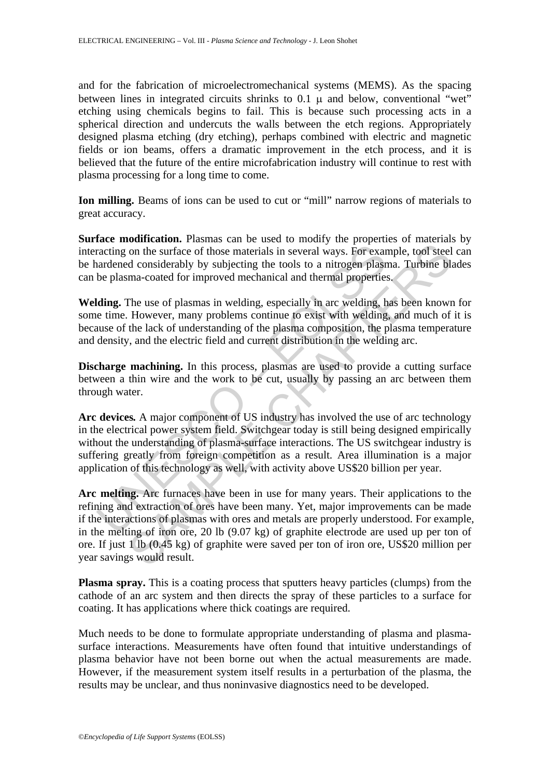and for the fabrication of microelectromechanical systems (MEMS). As the spacing between lines in integrated circuits shrinks to  $0.1 \mu$  and below, conventional "wet" etching using chemicals begins to fail. This is because such processing acts in a spherical direction and undercuts the walls between the etch regions. Appropriately designed plasma etching (dry etching), perhaps combined with electric and magnetic fields or ion beams, offers a dramatic improvement in the etch process, and it is believed that the future of the entire microfabrication industry will continue to rest with plasma processing for a long time to come.

**Ion milling.** Beams of ions can be used to cut or "mill" narrow regions of materials to great accuracy.

**Surface modification.** Plasmas can be used to modify the properties of materials by interacting on the surface of those materials in several ways. For example, tool steel can be hardened considerably by subjecting the tools to a nitrogen plasma. Turbine blades can be plasma-coated for improved mechanical and thermal properties.

**Welding.** The use of plasmas in welding, especially in arc welding, has been known for some time. However, many problems continue to exist with welding, and much of it is because of the lack of understanding of the plasma composition, the plasma temperature and density, and the electric field and current distribution in the welding arc.

**Discharge machining.** In this process, plasmas are used to provide a cutting surface between a thin wire and the work to be cut, usually by passing an arc between them through water.

racting on the surface of those materials in several ways. For examended considerably by subjecting the tools to a nitrogen plass<br>be plasma-coated for improved mechanical and thermal properties<br>be plasma-coated for improve **Arc devices***.* A major component of US industry has involved the use of arc technology in the electrical power system field. Switchgear today is still being designed empirically without the understanding of plasma-surface interactions. The US switchgear industry is suffering greatly from foreign competition as a result. Area illumination is a major application of this technology as well, with activity above US\$20 billion per year.

continuant and can be calculated in several way. For example, tool steeld considerably by subjecting the tools to a nitrogen plasma. Turbine bl. ma-coated for improved mechanical and thermal ways. For example, tool steeld **Arc melting.** Arc furnaces have been in use for many years. Their applications to the refining and extraction of ores have been many. Yet, major improvements can be made if the interactions of plasmas with ores and metals are properly understood. For example, in the melting of iron ore, 20 lb (9.07 kg) of graphite electrode are used up per ton of ore. If just 1 lb (0.45 kg) of graphite were saved per ton of iron ore, US\$20 million per year savings would result.

**Plasma spray.** This is a coating process that sputters heavy particles (clumps) from the cathode of an arc system and then directs the spray of these particles to a surface for coating. It has applications where thick coatings are required.

Much needs to be done to formulate appropriate understanding of plasma and plasmasurface interactions. Measurements have often found that intuitive understandings of plasma behavior have not been borne out when the actual measurements are made. However, if the measurement system itself results in a perturbation of the plasma, the results may be unclear, and thus noninvasive diagnostics need to be developed.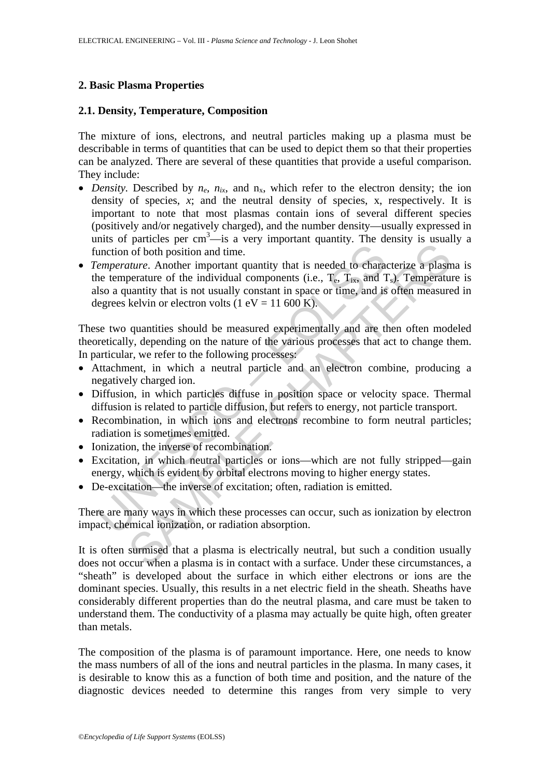## **2. Basic Plasma Properties**

## **2.1. Density, Temperature, Composition**

The mixture of ions, electrons, and neutral particles making up a plasma must be describable in terms of quantities that can be used to depict them so that their properties can be analyzed. There are several of these quantities that provide a useful comparison. They include:

- *Density.* Described by  $n_e$ ,  $n_{ix}$ , and  $n_x$ , which refer to the electron density; the ion density of species, *x*; and the neutral density of species, x, respectively. It is important to note that most plasmas contain ions of several different species (positively and/or negatively charged), and the number density—usually expressed in units of particles per  $cm<sup>3</sup>$ —is a very important quantity. The density is usually a function of both position and time.
- unction of both position and time.<br> *emperature*. Another important quantity that is needed to character emperature of the individual components (i.e.,  $T_e$ ,  $T_m$ , and 1 so a quantity that is not usually constant in space parameter of the individual components (i.e., T<sub>R</sub>, T<sub>RK</sub>, and T<sub>R</sub>). The dentative of both position and time.<br> *uture*. Another important quantity that is needed to characterize a plasm<br> *uture*. Another important quanti • *Temperature*. Another important quantity that is needed to characterize a plasma is the temperature of the individual components (i.e.,  $T_e$ ,  $T_{ix}$ , and  $T_s$ ). Temperature is also a quantity that is not usually constant in space or time, and is often measured in degrees kelvin or electron volts  $(1 \text{ eV} = 11\,600 \text{ K})$ .

These two quantities should be measured experimentally and are then often modeled theoretically, depending on the nature of the various processes that act to change them. In particular, we refer to the following processes:

- Attachment, in which a neutral particle and an electron combine, producing a negatively charged ion.
- Diffusion, in which particles diffuse in position space or velocity space. Thermal diffusion is related to particle diffusion, but refers to energy, not particle transport.
- Recombination, in which ions and electrons recombine to form neutral particles; radiation is sometimes emitted.
- Ionization, the inverse of recombination.
- Excitation, in which neutral particles or ions—which are not fully stripped—gain energy, which is evident by orbital electrons moving to higher energy states.
- De-excitation—the inverse of excitation; often, radiation is emitted.

There are many ways in which these processes can occur, such as ionization by electron impact, chemical ionization, or radiation absorption.

It is often surmised that a plasma is electrically neutral, but such a condition usually does not occur when a plasma is in contact with a surface. Under these circumstances, a "sheath" is developed about the surface in which either electrons or ions are the dominant species. Usually, this results in a net electric field in the sheath. Sheaths have considerably different properties than do the neutral plasma, and care must be taken to understand them. The conductivity of a plasma may actually be quite high, often greater than metals.

The composition of the plasma is of paramount importance. Here, one needs to know the mass numbers of all of the ions and neutral particles in the plasma. In many cases, it is desirable to know this as a function of both time and position, and the nature of the diagnostic devices needed to determine this ranges from very simple to very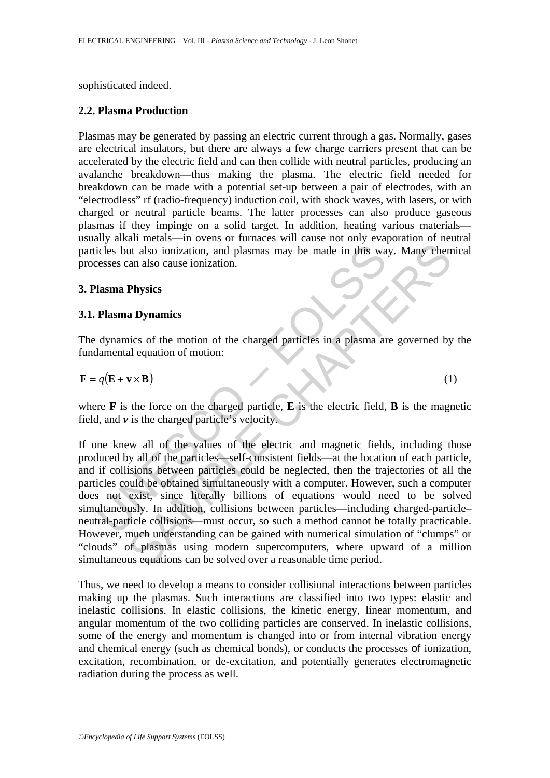sophisticated indeed.

### **2.2. Plasma Production**

Plasmas may be generated by passing an electric current through a gas. Normally, gases are electrical insulators, but there are always a few charge carriers present that can be accelerated by the electric field and can then collide with neutral particles, producing an avalanche breakdown—thus making the plasma. The electric field needed for breakdown can be made with a potential set-up between a pair of electrodes, with an "electrodless" rf (radio-frequency) induction coil, with shock waves, with lasers, or with charged or neutral particle beams. The latter processes can also produce gaseous plasmas if they impinge on a solid target. In addition, heating various materials usually alkali metals—in ovens or furnaces will cause not only evaporation of neutral particles but also ionization, and plasmas may be made in this way. Many chemical processes can also cause ionization.

### **3. Plasma Physics**

### **3.1. Plasma Dynamics**

The dynamics of the motion of the charged particles in a plasma are governed by the fundamental equation of motion:

$$
\mathbf{F} = q(\mathbf{E} + \mathbf{v} \times \mathbf{B}) \tag{1}
$$

where **F** is the force on the charged particle, **E** is the electric field, **B** is the magnetic field, and *v* is the charged particle's velocity.

UNESCO – EOLSS (a) interest and plasmas may be made in this way. Many chem<br>
an also cause ionization.<br> **Physics**<br> **Example Chapter 20** and plasma are governed by<br> **Example 20** and equation of motion:<br> **Physics**<br> **Example 20** and a plasma If one knew all of the values of the electric and magnetic fields, including those produced by all of the particles—self-consistent fields—at the location of each particle, and if collisions between particles could be neglected, then the trajectories of all the particles could be obtained simultaneously with a computer. However, such a computer does not exist, since literally billions of equations would need to be solved simultaneously. In addition, collisions between particles—including charged-particle– neutral-particle collisions—must occur, so such a method cannot be totally practicable. However, much understanding can be gained with numerical simulation of "clumps" or "clouds" of plasmas using modern supercomputers, where upward of a million simultaneous equations can be solved over a reasonable time period.

Thus, we need to develop a means to consider collisional interactions between particles making up the plasmas. Such interactions are classified into two types: elastic and inelastic collisions. In elastic collisions, the kinetic energy, linear momentum, and angular momentum of the two colliding particles are conserved. In inelastic collisions, some of the energy and momentum is changed into or from internal vibration energy and chemical energy (such as chemical bonds), or conducts the processes of ionization, excitation, recombination, or de-excitation, and potentially generates electromagnetic radiation during the process as well.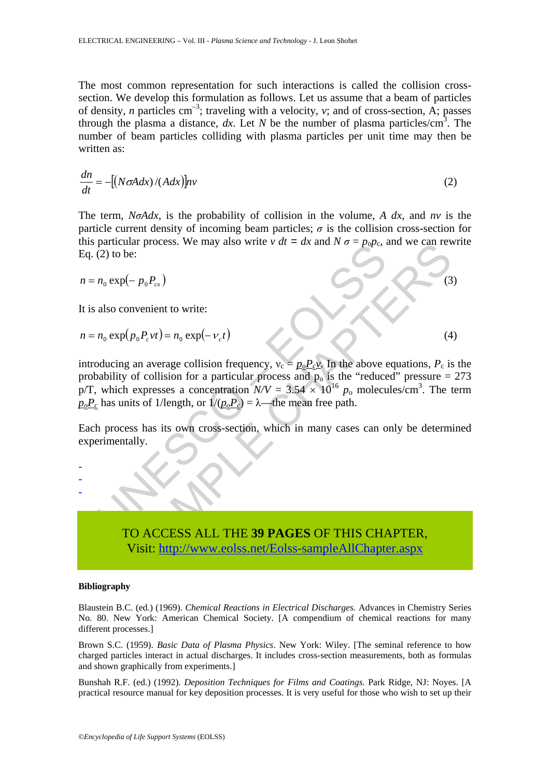The most common representation for such interactions is called the collision crosssection. We develop this formulation as follows. Let us assume that a beam of particles of density, *n* particles cm–3; traveling with a velocity, *v*; and of cross-section, A; passes through the plasma a distance,  $dx$ . Let N be the number of plasma particles/cm<sup>3</sup>. The number of beam particles colliding with plasma particles per unit time may then be written as:

$$
\frac{dn}{dt} = -[(N\sigma A dx)/(A dx)]nv\tag{2}
$$

The term, *NσAdx*, is the probability of collision in the volume, *A dx*, and *nv* is the particle current density of incoming beam particles;  $\sigma$  is the collision cross-section for this particular process. We may also write  $v dt = dx$  and  $N \sigma = p_0 p_c$ , and we can rewrite Eq.  $(2)$  to be:

$$
n = n_0 \exp(-p_0 P_{cx})
$$

It is also convenient to write:

$$
n = n_0 \exp(p_0 P_c vt) = n_0 \exp(-v_c t)
$$

particular process. We may also write  $v$  at  $u = dx$  and  $N = D\phi v_c$ .<br>
(2) to be:<br>  $n_0 \exp(-p_0 P_{c}x)$ <br>
also convenient to write:<br>  $n_0 \exp(p_0 P_c vt) = n_0 \exp(-v_c t)$ <br>
oducing an average collision frequency,  $v_c = p_a P_c v$ . In the above<br>
sab Share process. We may also write  $v$  at  $u = ax$  and  $Nv = p_0p_c$ , and we can leve:<br>  $(p_0P_cvt) = n_0 \exp(-v_c t)$ <br>
3 an average collision frequency,  $v_c = p_0P_c v$ . In the above equations,  $P_c$  is<br>
of collision for a particular process a introducing an average collision frequency,  $v_c = p_o P_c v$ . In the above equations,  $P_c$  is the probability of collision for a particular process and  $p_0$  is the "reduced" pressure = 273 p/T, which expresses a concentration  $N/V = 3.54 \times 10^{16} p_0$  molecules/cm<sup>3</sup>. The term  $p_oP_c$  has units of 1/length, or  $1/(p_oP_c) = \lambda$ —the mean free path.

Each process has its own cross-section, which in many cases can only be determined experimentally.

# TO ACCESS ALL THE **39 PAGES** OF THIS CHAPTER, Visit: http://www.eolss.net/Eolss-sampleAllChapter.aspx

#### **Bibliography**

- - -

Blaustein B.C. (ed.) (1969). *Chemical Reactions in Electrical Discharges.* Advances in Chemistry Series No. 80. New York: American Chemical Society. [A compendium of chemical reactions for many different processes.]

Brown S.C. (1959). *Basic Data of Plasma Physics*. New York: Wiley. [The seminal reference to how charged particles interact in actual discharges. It includes cross-section measurements, both as formulas and shown graphically from experiments.]

Bunshah R.F. (ed.) (1992). *Deposition Techniques for Films and Coatings*. Park Ridge, NJ: Noyes. [A practical resource manual for key deposition processes. It is very useful for those who wish to set up their

 $n = n_0 \exp(-p_0 P_{cx})$  (3)  $n = n_0 \exp(p_0 P_c vt) = n_0 \exp(-v_c t)$  (4)